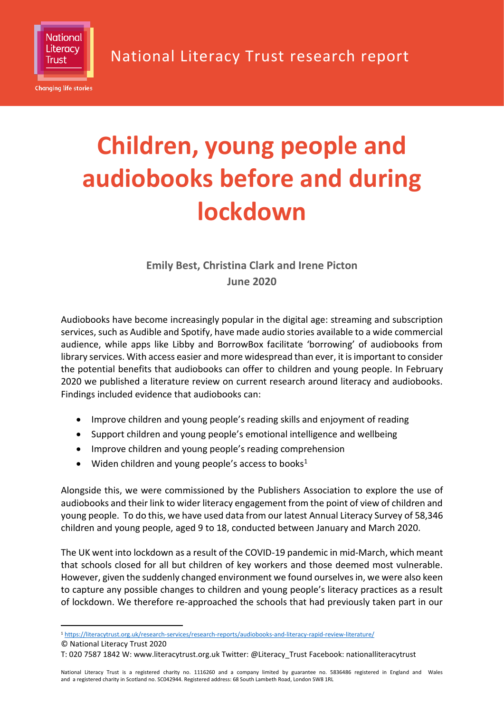

# **Children, young people and audiobooks before and during lockdown**

## **Emily Best, Christina Clark and Irene Picton June 2020**

Audiobooks have become increasingly popular in the digital age: streaming and subscription services, such as Audible and Spotify, have made audio stories available to a wide commercial audience, while apps like Libby and BorrowBox facilitate 'borrowing' of audiobooks from library services. With access easier and more widespread than ever, it is important to consider the potential benefits that audiobooks can offer to children and young people. In February 2020 we published a literature review on current research around literacy and audiobooks. Findings included evidence that audiobooks can:

- Improve children and young people's reading skills and enjoyment of reading
- Support children and young people's emotional intelligence and wellbeing
- Improve children and young people's reading comprehension
- Widen children and young people's access to books<sup>1</sup>

Alongside this, we were commissioned by the Publishers Association to explore the use of audiobooks and their link to wider literacy engagement from the point of view of children and young people. To do this, we have used data from our latest Annual Literacy Survey of 58,346 children and young people, aged 9 to 18, conducted between January and March 2020.

The UK went into lockdown as a result of the COVID-19 pandemic in mid-March, which meant that schools closed for all but children of key workers and those deemed most vulnerable. However, given the suddenly changed environment we found ourselves in, we were also keen to capture any possible changes to children and young people's literacy practices as a result of lockdown. We therefore re-approached the schools that had previously taken part in our

<sup>1</sup> <https://literacytrust.org.uk/research-services/research-reports/audiobooks-and-literacy-rapid-review-literature/>

<sup>©</sup> National Literacy Trust 2020

T: 020 7587 1842 W: www.literacytrust.org.uk Twitter: @Literacy\_Trust Facebook: nationalliteracytrust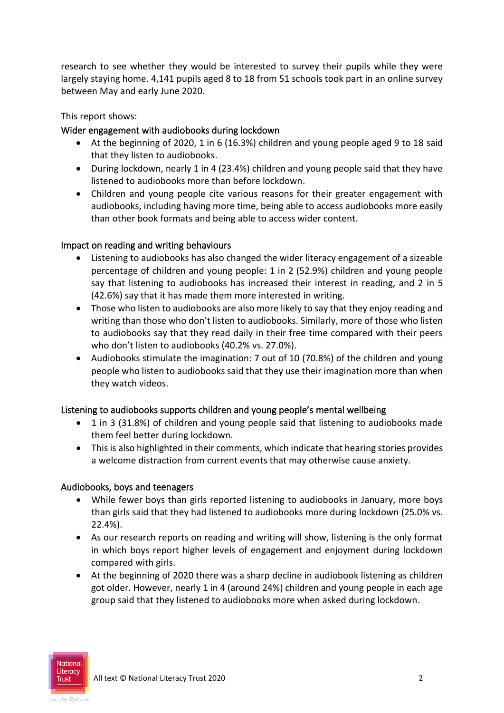research to see whether they would be interested to survey their pupils while they were largely staying home. 4,141 pupils aged 8 to 18 from 51 schools took part in an online survey between May and early June 2020.

## This report shows:

## Wider engagement with audiobooks during lockdown

- At the beginning of 2020, 1 in 6 (16.3%) children and young people aged 9 to 18 said that they listen to audiobooks.
- During lockdown, nearly 1 in 4 (23.4%) children and young people said that they have listened to audiobooks more than before lockdown.
- Children and young people cite various reasons for their greater engagement with audiobooks, including having more time, being able to access audiobooks more easily than other book formats and being able to access wider content.

## Impact on reading and writing behaviours

- Listening to audiobooks has also changed the wider literacy engagement of a sizeable percentage of children and young people: 1 in 2 (52.9%) children and young people say that listening to audiobooks has increased their interest in reading, and 2 in 5 (42.6%) say that it has made them more interested in writing.
- Those who listen to audiobooks are also more likely to say that they enjoy reading and writing than those who don't listen to audiobooks. Similarly, more of those who listen to audiobooks say that they read daily in their free time compared with their peers who don't listen to audiobooks (40.2% vs. 27.0%).
- Audiobooks stimulate the imagination: 7 out of 10 (70.8%) of the children and young people who listen to audiobooks said that they use their imagination more than when they watch videos.

## Listening to audiobooks supports children and young people's mental wellbeing

- 1 in 3 (31.8%) of children and young people said that listening to audiobooks made them feel better during lockdown.
- This is also highlighted in their comments, which indicate that hearing stories provides a welcome distraction from current events that may otherwise cause anxiety.

## Audiobooks, boys and teenagers

- While fewer boys than girls reported listening to audiobooks in January, more boys than girls said that they had listened to audiobooks more during lockdown (25.0% vs. 22.4%).
- As our research reports on reading and writing will show, listening is the only format in which boys report higher levels of engagement and enjoyment during lockdown compared with girls.
- At the beginning of 2020 there was a sharp decline in audiobook listening as children got older. However, nearly 1 in 4 (around 24%) children and young people in each age group said that they listened to audiobooks more when asked during lockdown.

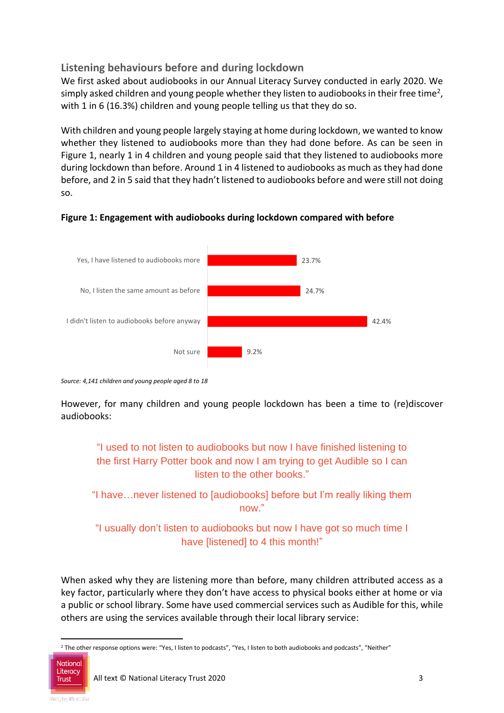## **Listening behaviours before and during lockdown**

We first asked about audiobooks in our Annual Literacy Survey conducted in early 2020. We simply asked children and young people whether they listen to audiobooks in their free time<sup>2</sup>, with 1 in 6 (16.3%) children and young people telling us that they do so.

With children and young people largely staying at home during lockdown, we wanted to know whether they listened to audiobooks more than they had done before. As can be seen in Figure 1, nearly 1 in 4 children and young people said that they listened to audiobooks more during lockdown than before. Around 1 in 4 listened to audiobooks as much as they had done before, and 2 in 5 said that they hadn't listened to audiobooks before and were still not doing so.

## **Figure 1: Engagement with audiobooks during lockdown compared with before**



*Source: 4,141 children and young people aged 8 to 18*

However, for many children and young people lockdown has been a time to (re)discover audiobooks:

"I used to not listen to audiobooks but now I have finished listening to the first Harry Potter book and now I am trying to get Audible so I can listen to the other books."

"I have…never listened to [audiobooks] before but I'm really liking them now."

"I usually don't listen to audiobooks but now I have got so much time I have [listened] to 4 this month!"

When asked why they are listening more than before, many children attributed access as a key factor, particularly where they don't have access to physical books either at home or via a public or school library. Some have used commercial services such as Audible for this, while others are using the services available through their local library service:

<sup>&</sup>lt;sup>2</sup> The other response options were: "Yes, I listen to podcasts", "Yes, I listen to both audiobooks and podcasts", "Neither"

![](_page_2_Picture_12.jpeg)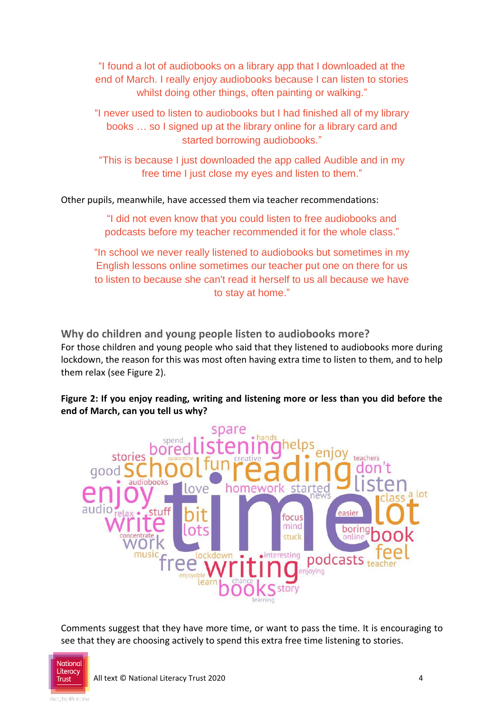"I found a lot of audiobooks on a library app that I downloaded at the end of March. I really enjoy audiobooks because I can listen to stories whilst doing other things, often painting or walking."

"I never used to listen to audiobooks but I had finished all of my library books … so I signed up at the library online for a library card and started borrowing audiobooks."

"This is because I just downloaded the app called Audible and in my free time I just close my eyes and listen to them."

Other pupils, meanwhile, have accessed them via teacher recommendations:

"I did not even know that you could listen to free audiobooks and podcasts before my teacher recommended it for the whole class."

"In school we never really listened to audiobooks but sometimes in my English lessons online sometimes our teacher put one on there for us to listen to because she can't read it herself to us all because we have to stay at home."

**Why do children and young people listen to audiobooks more?** For those children and young people who said that they listened to audiobooks more during lockdown, the reason for this was most often having extra time to listen to them, and to help them relax (see Figure 2).

## **Figure 2: If you enjoy reading, writing and listening more or less than you did before the end of March, can you tell us why?**

![](_page_3_Figure_8.jpeg)

Comments suggest that they have more time, or want to pass the time. It is encouraging to see that they are choosing actively to spend this extra free time listening to stories.

![](_page_3_Picture_10.jpeg)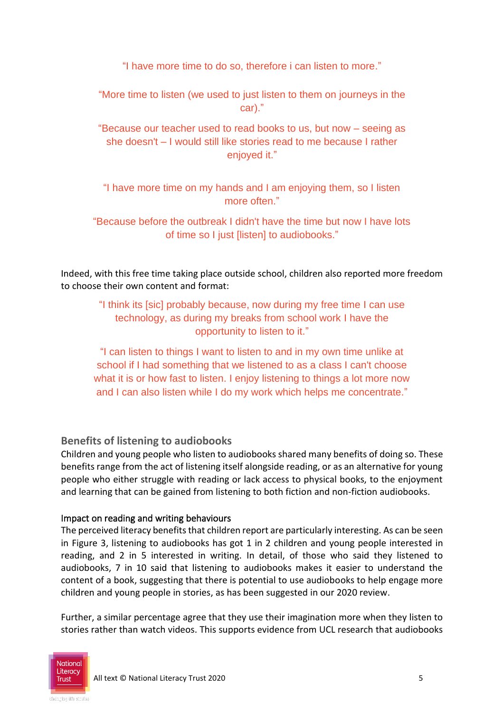"I have more time to do so, therefore i can listen to more."

"More time to listen (we used to just listen to them on journeys in the car)."

"Because our teacher used to read books to us, but now – seeing as she doesn't – I would still like stories read to me because I rather enjoyed it."

"I have more time on my hands and I am enjoying them, so I listen more often."

"Because before the outbreak I didn't have the time but now I have lots of time so I just [listen] to audiobooks."

Indeed, with this free time taking place outside school, children also reported more freedom to choose their own content and format:

"I think its [sic] probably because, now during my free time I can use technology, as during my breaks from school work I have the opportunity to listen to it."

"I can listen to things I want to listen to and in my own time unlike at school if I had something that we listened to as a class I can't choose what it is or how fast to listen. I enjoy listening to things a lot more now and I can also listen while I do my work which helps me concentrate."

**Benefits of listening to audiobooks**

Children and young people who listen to audiobooks shared many benefits of doing so. These benefits range from the act of listening itself alongside reading, or as an alternative for young people who either struggle with reading or lack access to physical books, to the enjoyment and learning that can be gained from listening to both fiction and non-fiction audiobooks.

## Impact on reading and writing behaviours

The perceived literacy benefits that children report are particularly interesting. As can be seen in Figure 3, listening to audiobooks has got 1 in 2 children and young people interested in reading, and 2 in 5 interested in writing. In detail, of those who said they listened to audiobooks, 7 in 10 said that listening to audiobooks makes it easier to understand the content of a book, suggesting that there is potential to use audiobooks to help engage more children and young people in stories, as has been suggested in our 2020 review.

Further, a similar percentage agree that they use their imagination more when they listen to stories rather than watch videos. This supports evidence from UCL research that audiobooks

![](_page_4_Picture_13.jpeg)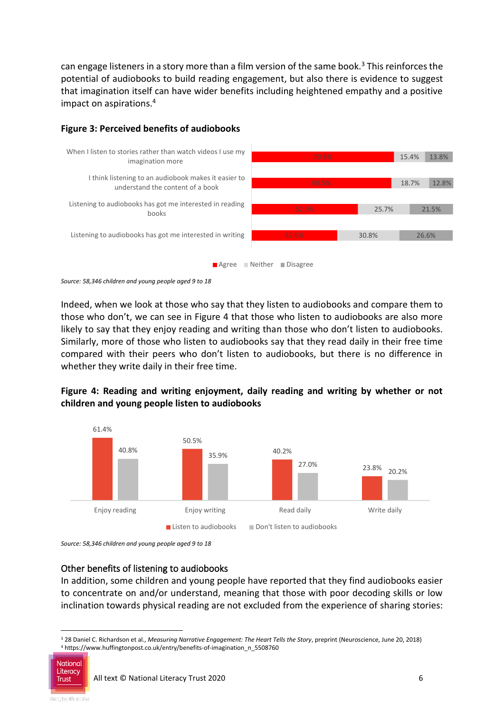can engage listeners in a story more than a film version of the same book.<sup>3</sup> This reinforces the potential of audiobooks to build reading engagement, but also there is evidence to suggest that imagination itself can have wider benefits including heightened empathy and a positive impact on aspirations.<sup>4</sup>

## **Figure 3: Perceived benefits of audiobooks**

![](_page_5_Figure_2.jpeg)

*Source: 58,346 children and young people aged 9 to 18*

Indeed, when we look at those who say that they listen to audiobooks and compare them to those who don't, we can see in Figure 4 that those who listen to audiobooks are also more likely to say that they enjoy reading and writing than those who don't listen to audiobooks. Similarly, more of those who listen to audiobooks say that they read daily in their free time compared with their peers who don't listen to audiobooks, but there is no difference in whether they write daily in their free time.

## **Figure 4: Reading and writing enjoyment, daily reading and writing by whether or not children and young people listen to audiobooks**

![](_page_5_Figure_6.jpeg)

*Source: 58,346 children and young people aged 9 to 18*

#### Other benefits of listening to audiobooks

In addition, some children and young people have reported that they find audiobooks easier to concentrate on and/or understand, meaning that those with poor decoding skills or low inclination towards physical reading are not excluded from the experience of sharing stories:

<sup>3</sup> 28 Daniel C. Richardson et al., *Measuring Narrative Engagement: The Heart Tells the Story*, preprint (Neuroscience, June 20, 2018) <sup>4</sup> https://www.huffingtonpost.co.uk/entry/benefits-of-imagination\_n\_5508760

![](_page_5_Picture_11.jpeg)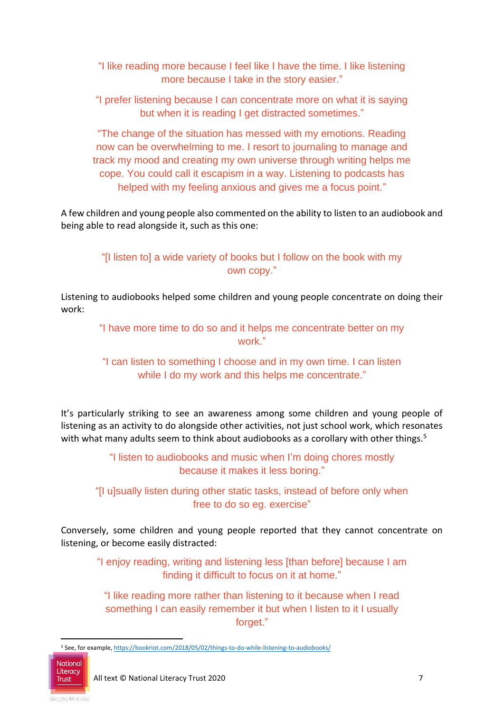"I like reading more because I feel like I have the time. I like listening more because I take in the story easier."

"I prefer listening because I can concentrate more on what it is saying but when it is reading I get distracted sometimes."

"The change of the situation has messed with my emotions. Reading now can be overwhelming to me. I resort to journaling to manage and track my mood and creating my own universe through writing helps me cope. You could call it escapism in a way. Listening to podcasts has helped with my feeling anxious and gives me a focus point."

A few children and young people also commented on the ability to listen to an audiobook and being able to read alongside it, such as this one:

> "[I listen to] a wide variety of books but I follow on the book with my own copy."

Listening to audiobooks helped some children and young people concentrate on doing their work:

> "I have more time to do so and it helps me concentrate better on my work."

## "I can listen to something I choose and in my own time. I can listen while I do my work and this helps me concentrate."

It's particularly striking to see an awareness among some children and young people of listening as an activity to do alongside other activities, not just school work, which resonates with what many adults seem to think about audiobooks as a corollary with other things.<sup>5</sup>

> "I listen to audiobooks and music when I'm doing chores mostly because it makes it less boring."

"[I u]sually listen during other static tasks, instead of before only when free to do so eg. exercise"

Conversely, some children and young people reported that they cannot concentrate on listening, or become easily distracted:

"I enjoy reading, writing and listening less [than before] because I am finding it difficult to focus on it at home."

"I like reading more rather than listening to it because when I read something I can easily remember it but when I listen to it I usually forget."

<sup>&</sup>lt;sup>5</sup> See, for example[, https://bookriot.com/2018/05/02/things-to-do-while-listening-to-audiobooks/](https://bookriot.com/2018/05/02/things-to-do-while-listening-to-audiobooks/)

![](_page_6_Picture_15.jpeg)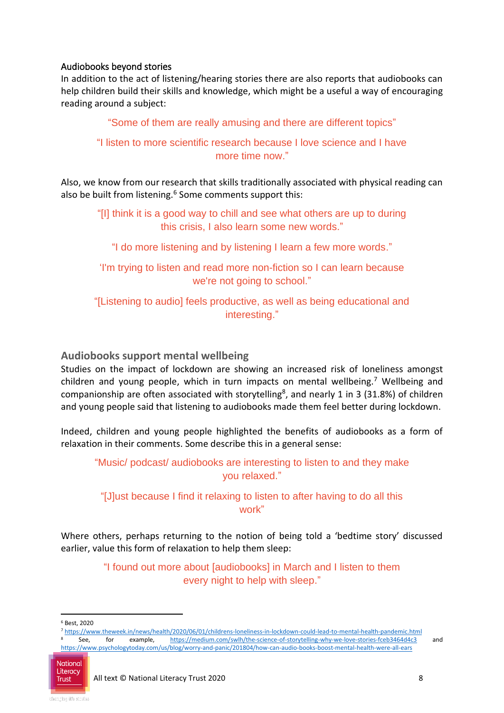## Audiobooks beyond stories

In addition to the act of listening/hearing stories there are also reports that audiobooks can help children build their skills and knowledge, which might be a useful a way of encouraging reading around a subject:

"Some of them are really amusing and there are different topics"

## "I listen to more scientific research because I love science and I have more time now."

Also, we know from our research that skills traditionally associated with physical reading can also be built from listening.<sup>6</sup> Some comments support this:

"[I] think it is a good way to chill and see what others are up to during this crisis, I also learn some new words."

"I do more listening and by listening I learn a few more words."

'I'm trying to listen and read more non-fiction so I can learn because we're not going to school."

"[Listening to audio] feels productive, as well as being educational and interesting."

## **Audiobooks support mental wellbeing**

Studies on the impact of lockdown are showing an increased risk of loneliness amongst children and young people, which in turn impacts on mental wellbeing.<sup>7</sup> Wellbeing and companionship are often associated with storytelling<sup>8</sup>, and nearly 1 in 3 (31.8%) of children and young people said that listening to audiobooks made them feel better during lockdown.

Indeed, children and young people highlighted the benefits of audiobooks as a form of relaxation in their comments. Some describe this in a general sense:

"Music/ podcast/ audiobooks are interesting to listen to and they make you relaxed."

"[J]ust because I find it relaxing to listen to after having to do all this work"

Where others, perhaps returning to the notion of being told a 'bedtime story' discussed earlier, value this form of relaxation to help them sleep:

> "I found out more about [audiobooks] in March and I listen to them every night to help with sleep."

<sup>6</sup> Best, 2020

<sup>7</sup> <https://www.theweek.in/news/health/2020/06/01/childrens-loneliness-in-lockdown-could-lead-to-mental-health-pandemic.html> <sup>8</sup> See, for example, <https://medium.com/swlh/the-science-of-storytelling-why-we-love-stories-fceb3464d4c3> and <https://www.psychologytoday.com/us/blog/worry-and-panic/201804/how-can-audio-books-boost-mental-health-were-all-ears>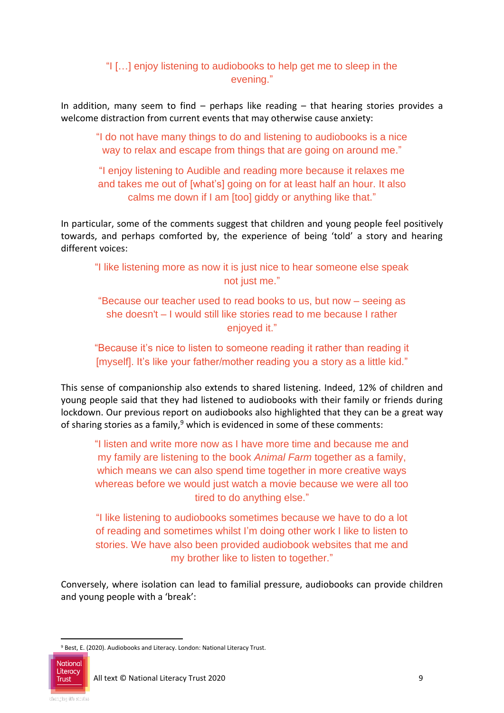## "I […] enjoy listening to audiobooks to help get me to sleep in the evening."

In addition, many seem to find – perhaps like reading – that hearing stories provides a welcome distraction from current events that may otherwise cause anxiety:

"I do not have many things to do and listening to audiobooks is a nice way to relax and escape from things that are going on around me."

"I enjoy listening to Audible and reading more because it relaxes me and takes me out of [what's] going on for at least half an hour. It also calms me down if I am [too] giddy or anything like that."

In particular, some of the comments suggest that children and young people feel positively towards, and perhaps comforted by, the experience of being 'told' a story and hearing different voices:

"I like listening more as now it is just nice to hear someone else speak not just me."

"Because our teacher used to read books to us, but now – seeing as she doesn't – I would still like stories read to me because I rather enjoyed it."

"Because it's nice to listen to someone reading it rather than reading it [myself]. It's like your father/mother reading you a story as a little kid."

This sense of companionship also extends to shared listening. Indeed, 12% of children and young people said that they had listened to audiobooks with their family or friends during lockdown. Our previous report on audiobooks also highlighted that they can be a great way of sharing stories as a family.<sup>9</sup> which is evidenced in some of these comments:

"I listen and write more now as I have more time and because me and my family are listening to the book *Animal Farm* together as a family, which means we can also spend time together in more creative ways whereas before we would just watch a movie because we were all too tired to do anything else."

"I like listening to audiobooks sometimes because we have to do a lot of reading and sometimes whilst I'm doing other work I like to listen to stories. We have also been provided audiobook websites that me and my brother like to listen to together."

Conversely, where isolation can lead to familial pressure, audiobooks can provide children and young people with a 'break':

<sup>9</sup> Best, E. (2020). Audiobooks and Literacy. London: National Literacy Trust.

![](_page_8_Picture_13.jpeg)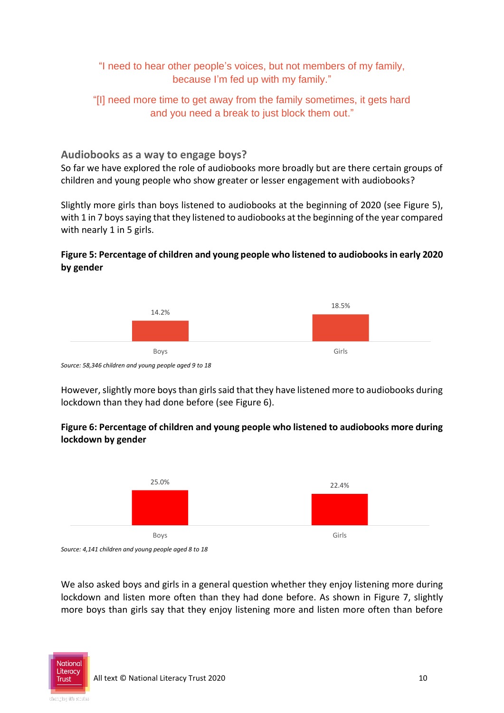"I need to hear other people's voices, but not members of my family, because I'm fed up with my family."

"[I] need more time to get away from the family sometimes, it gets hard and you need a break to just block them out."

**Audiobooks as a way to engage boys?**

So far we have explored the role of audiobooks more broadly but are there certain groups of children and young people who show greater or lesser engagement with audiobooks?

Slightly more girls than boys listened to audiobooks at the beginning of 2020 (see Figure 5), with 1 in 7 boys saying that they listened to audiobooks at the beginning of the year compared with nearly 1 in 5 girls.

## **Figure 5: Percentage of children and young people who listened to audiobooks in early 2020 by gender**

![](_page_9_Figure_6.jpeg)

*Source: 58,346 children and young people aged 9 to 18*

However, slightly more boys than girls said that they have listened more to audiobooks during lockdown than they had done before (see Figure 6).

## **Figure 6: Percentage of children and young people who listened to audiobooks more during lockdown by gender**

![](_page_9_Figure_10.jpeg)

![](_page_9_Figure_11.jpeg)

We also asked boys and girls in a general question whether they enjoy listening more during lockdown and listen more often than they had done before. As shown in Figure 7, slightly more boys than girls say that they enjoy listening more and listen more often than before

![](_page_9_Picture_13.jpeg)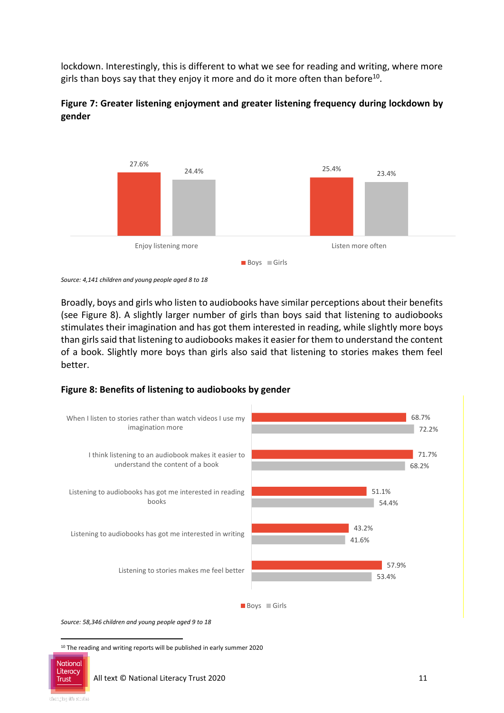lockdown. Interestingly, this is different to what we see for reading and writing, where more girls than boys say that they enjoy it more and do it more often than before<sup>10</sup>.

![](_page_10_Figure_1.jpeg)

## **Figure 7: Greater listening enjoyment and greater listening frequency during lockdown by gender**

*Source: 4,141 children and young people aged 8 to 18*

Broadly, boys and girls who listen to audiobooks have similar perceptions about their benefits (see Figure 8). A slightly larger number of girls than boys said that listening to audiobooks stimulates their imagination and has got them interested in reading, while slightly more boys than girls said that listening to audiobooks makes it easier for them to understand the content of a book. Slightly more boys than girls also said that listening to stories makes them feel better.

#### **Figure 8: Benefits of listening to audiobooks by gender**

![](_page_10_Figure_6.jpeg)

*Source: 58,346 children and young people aged 9 to 18*

<sup>&</sup>lt;sup>10</sup> The reading and writing reports will be published in early summer 2020

![](_page_10_Picture_9.jpeg)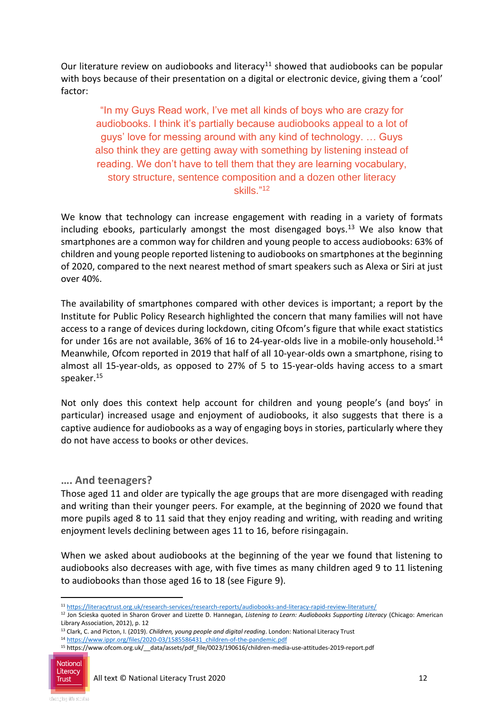Our literature review on audiobooks and literacy<sup>11</sup> showed that audiobooks can be popular with boys because of their presentation on a digital or electronic device, giving them a 'cool' factor:

"In my Guys Read work, I've met all kinds of boys who are crazy for audiobooks. I think it's partially because audiobooks appeal to a lot of guys' love for messing around with any kind of technology. … Guys also think they are getting away with something by listening instead of reading. We don't have to tell them that they are learning vocabulary, story structure, sentence composition and a dozen other literacy skills." 12

We know that technology can increase engagement with reading in a variety of formats including ebooks, particularly amongst the most disengaged boys.<sup>13</sup> We also know that smartphones are a common way for children and young people to access audiobooks: 63% of children and young people reported listening to audiobooks on smartphones at the beginning of 2020, compared to the next nearest method of smart speakers such as Alexa or Siri at just over 40%.

The availability of smartphones compared with other devices is important; a report by the Institute for Public Policy Research highlighted the concern that many families will not have access to a range of devices during lockdown, citing Ofcom's figure that while exact statistics for under 16s are not available, 36% of 16 to 24-year-olds live in a mobile-only household.<sup>14</sup> Meanwhile, Ofcom reported in 2019 that half of all 10-year-olds own a smartphone, rising to almost all 15-year-olds, as opposed to 27% of 5 to 15-year-olds having access to a smart speaker.<sup>15</sup>

Not only does this context help account for children and young people's (and boys' in particular) increased usage and enjoyment of audiobooks, it also suggests that there is a captive audience for audiobooks as a way of engaging boys in stories, particularly where they do not have access to books or other devices.

## **…. And teenagers?**

Those aged 11 and older are typically the age groups that are more disengaged with reading and writing than their younger peers. For example, at the beginning of 2020 we found that more pupils aged 8 to 11 said that they enjoy reading and writing, with reading and writing enjoyment levels declining between ages 11 to 16, before risingagain.

When we asked about audiobooks at the beginning of the year we found that listening to audiobooks also decreases with age, with five times as many children aged 9 to 11 listening to audiobooks than those aged 16 to 18 (see Figure 9).

<sup>15</sup> https://www.ofcom.org.uk/\_\_data/assets/pdf\_file/0023/190616/children-media-use-attitudes-2019-report.pdf

![](_page_11_Picture_13.jpeg)

<sup>11</sup> <https://literacytrust.org.uk/research-services/research-reports/audiobooks-and-literacy-rapid-review-literature/>

<sup>12</sup> Jon Scieska quoted in Sharon Grover and Lizette D. Hannegan, *Listening to Learn: Audiobooks Supporting Literacy* (Chicago: American Library Association, 2012), p. 12

<sup>13</sup> Clark, C. and Picton, I. (2019). *Children, young people and digital reading*. London: National Literacy Trust

<sup>14</sup> [https://www.ippr.org/files/2020-03/1585586431\\_children-of-the-pandemic.pdf](https://www.ippr.org/files/2020-03/1585586431_children-of-the-pandemic.pdf)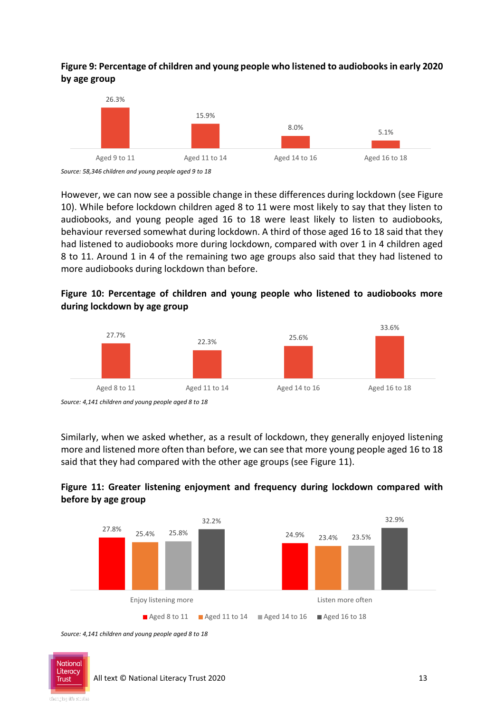## **Figure 9: Percentage of children and young people who listened to audiobooks in early 2020 by age group**

![](_page_12_Figure_1.jpeg)

*Source: 58,346 children and young people aged 9 to 18*

However, we can now see a possible change in these differences during lockdown (see Figure 10). While before lockdown children aged 8 to 11 were most likely to say that they listen to audiobooks, and young people aged 16 to 18 were least likely to listen to audiobooks, behaviour reversed somewhat during lockdown. A third of those aged 16 to 18 said that they had listened to audiobooks more during lockdown, compared with over 1 in 4 children aged 8 to 11. Around 1 in 4 of the remaining two age groups also said that they had listened to more audiobooks during lockdown than before.

## **Figure 10: Percentage of children and young people who listened to audiobooks more during lockdown by age group**

![](_page_12_Figure_5.jpeg)

*Source: 4,141 children and young people aged 8 to 18*

Similarly, when we asked whether, as a result of lockdown, they generally enjoyed listening more and listened more often than before, we can see that more young people aged 16 to 18 said that they had compared with the other age groups (see Figure 11).

![](_page_12_Figure_8.jpeg)

![](_page_12_Figure_9.jpeg)

*Source: 4,141 children and young people aged 8 to 18*

![](_page_12_Picture_11.jpeg)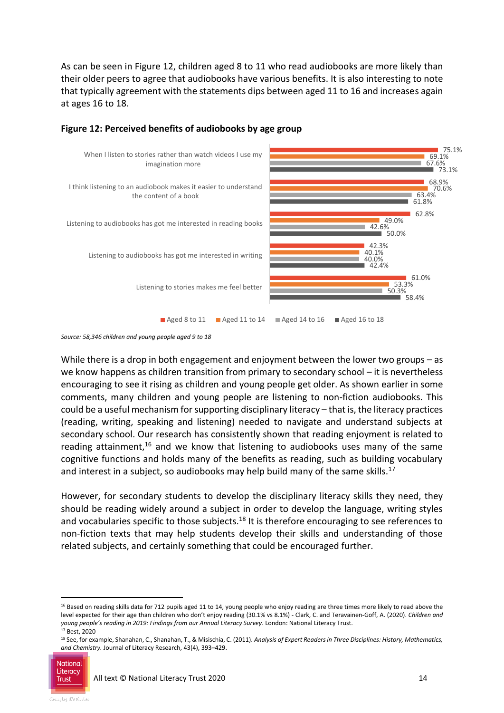As can be seen in Figure 12, children aged 8 to 11 who read audiobooks are more likely than their older peers to agree that audiobooks have various benefits. It is also interesting to note that typically agreement with the statements dips between aged 11 to 16 and increases again at ages 16 to 18.

![](_page_13_Figure_1.jpeg)

#### **Figure 12: Perceived benefits of audiobooks by age group**

While there is a drop in both engagement and enjoyment between the lower two groups – as we know happens as children transition from primary to secondary school – it is nevertheless encouraging to see it rising as children and young people get older. As shown earlier in some comments, many children and young people are listening to non-fiction audiobooks. This could be a useful mechanism for supporting disciplinary literacy – that is, the literacy practices (reading, writing, speaking and listening) needed to navigate and understand subjects at secondary school. Our research has consistently shown that reading enjoyment is related to reading attainment, $16$  and we know that listening to audiobooks uses many of the same cognitive functions and holds many of the benefits as reading, such as building vocabulary and interest in a subject, so audiobooks may help build many of the same skills.<sup>17</sup>

However, for secondary students to develop the disciplinary literacy skills they need, they should be reading widely around a subject in order to develop the language, writing styles and vocabularies specific to those subjects.<sup>18</sup> It is therefore encouraging to see references to non-fiction texts that may help students develop their skills and understanding of those related subjects, and certainly something that could be encouraged further.

<sup>18</sup> See, for example, Shanahan, C., Shanahan, T., & Misischia, C. (2011). *Analysis of Expert Readers in Three Disciplines: History, Mathematics, and Chemistry.* Journal of Literacy Research, 43(4), 393–429.

![](_page_13_Picture_8.jpeg)

*Source: 58,346 children and young people aged 9 to 18*

<sup>&</sup>lt;sup>16</sup> Based on reading skills data for 712 pupils aged 11 to 14, young people who enjoy reading are three times more likely to read above the level expected for their age than children who don't enjoy reading (30.1% vs 8.1%) - Clark, C. and Teravainen-Goff, A. (2020). *Children and young people's reading in 2019: Findings from our Annual Literacy Survey*. London: National Literacy Trust. <sup>17</sup> Best, 2020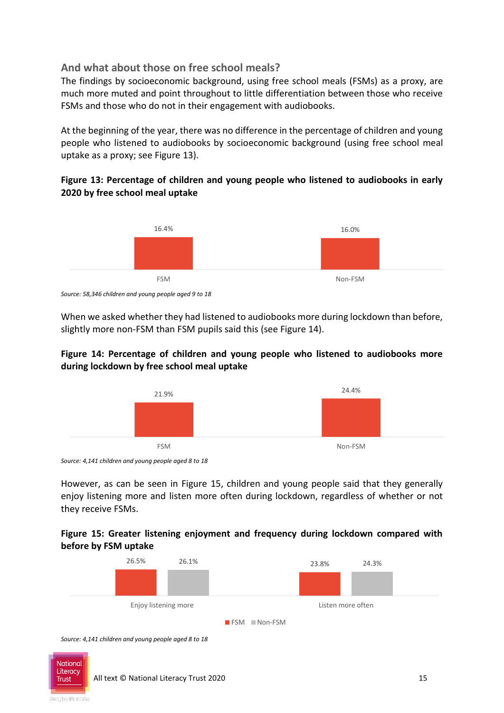## **And what about those on free school meals?**

The findings by socioeconomic background, using free school meals (FSMs) as a proxy, are much more muted and point throughout to little differentiation between those who receive FSMs and those who do not in their engagement with audiobooks.

At the beginning of the year, there was no difference in the percentage of children and young people who listened to audiobooks by socioeconomic background (using free school meal uptake as a proxy; see Figure 13).

## **Figure 13: Percentage of children and young people who listened to audiobooks in early 2020 by free school meal uptake**

![](_page_14_Figure_4.jpeg)

*Source: 58,346 children and young people aged 9 to 18*

When we asked whether they had listened to audiobooks more during lockdown than before, slightly more non-FSM than FSM pupils said this (see Figure 14).

## **Figure 14: Percentage of children and young people who listened to audiobooks more during lockdown by free school meal uptake**

![](_page_14_Figure_8.jpeg)

*Source: 4,141 children and young people aged 8 to 18*

However, as can be seen in Figure 15, children and young people said that they generally enjoy listening more and listen more often during lockdown, regardless of whether or not they receive FSMs.

## **Figure 15: Greater listening enjoyment and frequency during lockdown compared with before by FSM uptake**

![](_page_14_Figure_12.jpeg)

*Source: 4,141 children and young people aged 8 to 18*

![](_page_14_Picture_14.jpeg)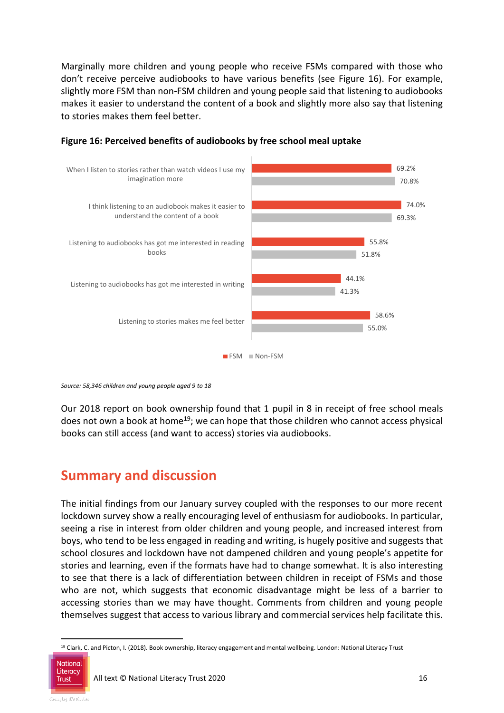Marginally more children and young people who receive FSMs compared with those who don't receive perceive audiobooks to have various benefits (see Figure 16). For example, slightly more FSM than non-FSM children and young people said that listening to audiobooks makes it easier to understand the content of a book and slightly more also say that listening to stories makes them feel better.

![](_page_15_Figure_1.jpeg)

**Figure 16: Perceived benefits of audiobooks by free school meal uptake**

*Source: 58,346 children and young people aged 9 to 18*

Our 2018 report on book ownership found that 1 pupil in 8 in receipt of free school meals does not own a book at home<sup>19</sup>; we can hope that those children who cannot access physical books can still access (and want to access) stories via audiobooks.

## **Summary and discussion**

The initial findings from our January survey coupled with the responses to our more recent lockdown survey show a really encouraging level of enthusiasm for audiobooks. In particular, seeing a rise in interest from older children and young people, and increased interest from boys, who tend to be less engaged in reading and writing, is hugely positive and suggests that school closures and lockdown have not dampened children and young people's appetite for stories and learning, even if the formats have had to change somewhat. It is also interesting to see that there is a lack of differentiation between children in receipt of FSMs and those who are not, which suggests that economic disadvantage might be less of a barrier to accessing stories than we may have thought. Comments from children and young people themselves suggest that access to various library and commercial services help facilitate this.

<sup>19</sup> Clark, C. and Picton, I. (2018). Book ownership, literacy engagement and mental wellbeing. London: National Literacy Trust

![](_page_15_Picture_8.jpeg)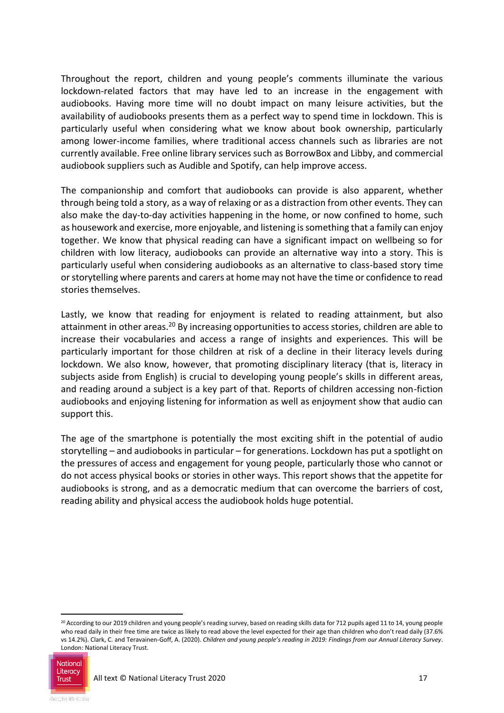Throughout the report, children and young people's comments illuminate the various lockdown-related factors that may have led to an increase in the engagement with audiobooks. Having more time will no doubt impact on many leisure activities, but the availability of audiobooks presents them as a perfect way to spend time in lockdown. This is particularly useful when considering what we know about book ownership, particularly among lower-income families, where traditional access channels such as libraries are not currently available. Free online library services such as BorrowBox and Libby, and commercial audiobook suppliers such as Audible and Spotify, can help improve access.

The companionship and comfort that audiobooks can provide is also apparent, whether through being told a story, as a way of relaxing or as a distraction from other events. They can also make the day-to-day activities happening in the home, or now confined to home, such as housework and exercise, more enjoyable, and listening is something that a family can enjoy together. We know that physical reading can have a significant impact on wellbeing so for children with low literacy, audiobooks can provide an alternative way into a story. This is particularly useful when considering audiobooks as an alternative to class-based story time or storytelling where parents and carers at home may not have the time or confidence to read stories themselves.

Lastly, we know that reading for enjoyment is related to reading attainment, but also attainment in other areas.<sup>20</sup> By increasing opportunities to access stories, children are able to increase their vocabularies and access a range of insights and experiences. This will be particularly important for those children at risk of a decline in their literacy levels during lockdown. We also know, however, that promoting disciplinary literacy (that is, literacy in subjects aside from English) is crucial to developing young people's skills in different areas, and reading around a subject is a key part of that. Reports of children accessing non-fiction audiobooks and enjoying listening for information as well as enjoyment show that audio can support this.

The age of the smartphone is potentially the most exciting shift in the potential of audio storytelling – and audiobooks in particular – for generations. Lockdown has put a spotlight on the pressures of access and engagement for young people, particularly those who cannot or do not access physical books or stories in other ways. This report shows that the appetite for audiobooks is strong, and as a democratic medium that can overcome the barriers of cost, reading ability and physical access the audiobook holds huge potential.

<sup>&</sup>lt;sup>20</sup> According to our 2019 children and young people's reading survey, based on reading skills data for 712 pupils aged 11 to 14, young people who read daily in their free time are twice as likely to read above the level expected for their age than children who don't read daily (37.6% vs 14.2%). Clark, C. and Teravainen-Goff, A. (2020). *Children and young people's reading in 2019: Findings from our Annual Literacy Survey*. London: National Literacy Trust.

![](_page_16_Picture_5.jpeg)